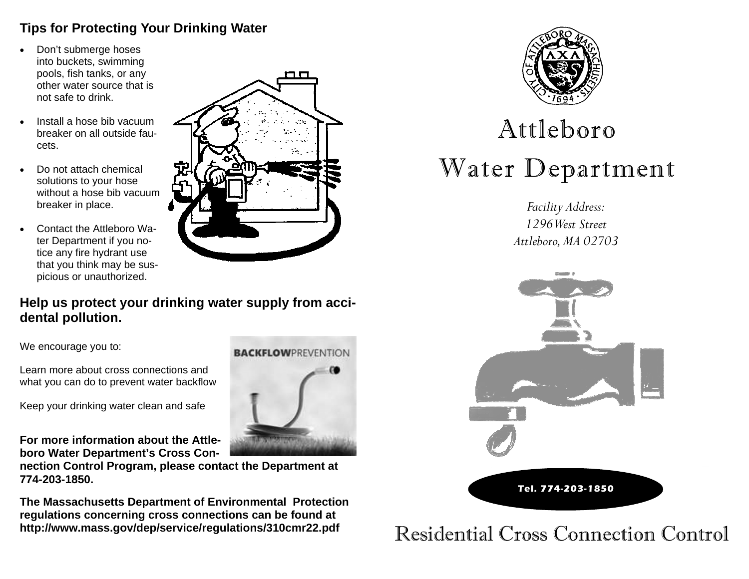## **Tips for Protecting Your Drinking Water**

- $\bullet$  Don't submerge hoses into buckets, swimming pools, fish tanks, or any other water source that is not safe to drink.
- $\bullet$  Install a hose bib vacuum breaker on all outside faucets.
- $\bullet$  Do not attach chemical solutions to your hose without a hose bib vacuum breaker in place.
- $\bullet$  Contact the Attleboro Water Department if you notice any fire hydrant use that you think may be suspicious or unauthorized.



## **Help us protect your drinking water supply from accidental pollution.**

We encourage you to:

Learn more about cross connections and what you can do to prevent water backflow

Keep your drinking water clean and safe

**For more information about the Attleboro Water Department's Cross Con-**

**nection Control Program, please contact the Department at 774-203-1850.** 

**The Massachusetts Department of Environmental Protection regulations concerning cross connections can be found at http://www.mass.gov/dep/service/regulations/310cmr22.pdf** 





# Attleboro Water Department

*Facility Address: 1296 West Street Attleboro, MA 02703* 



Residential Cross Connection Control